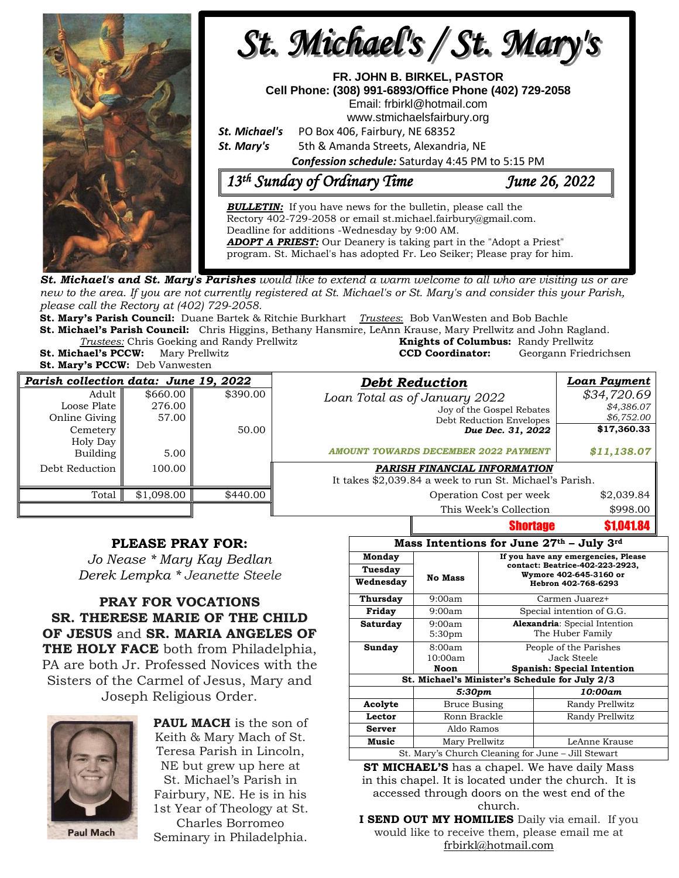

**St. Michael's and St. Mary's Parishes** would like to extend a warm welcome to all who are visiting us or are new to the area. If you are not currently registered at St. Michael's or St. Mary's and consider this your Parish, *please call the Rectory at (402) 729-2058.* 

**St. Mary's Parish Council:** Duane Bartek & Ritchie Burkhart *Trustees*: Bob VanWesten and Bob Bachle **St. Michael's Parish Council:** Chris Higgins, Bethany Hansmire, LeAnn Krause, Mary Prellwitz and John Ragland.

**Trustees:** Chris Goeking and Randy Prellwitz **St. Michael's PCCW:** Mary Prellwitz **CCD Coordinator:** Georgann Friedrichsen

**St. Mary's PCCW:** Deb Vanwesten

| <b>Knights of Columbus:</b> Randy Prellwitz<br><b>CCD Coordinator:</b> | Georgann Friedrichser |
|------------------------------------------------------------------------|-----------------------|
|                                                                        |                       |

| Parish collection data: June 19, 2022 |            |          | <b>Debt Reduction</b>                                   | <b>Loan Payment</b> |
|---------------------------------------|------------|----------|---------------------------------------------------------|---------------------|
| Adult                                 | \$660.00   | \$390.00 | Loan Total as of January 2022                           | \$34,720.69         |
| Loose Plate                           | 276.00     |          | Joy of the Gospel Rebates                               | \$4,386.07          |
| Online Giving                         | 57.00      |          | Debt Reduction Envelopes                                | \$6,752.00          |
| <b>Cemetery</b>                       |            | 50.00    | Due Dec. 31, 2022                                       | \$17,360.33         |
| Holy Day                              |            |          |                                                         |                     |
| Building                              | 5.00       |          | <b>AMOUNT TOWARDS DECEMBER 2022 PAYMENT</b>             | \$11,138.07         |
| Debt Reduction                        | 100.00     |          | PARISH FINANCIAL INFORMATION                            |                     |
|                                       |            |          | It takes \$2,039.84 a week to run St. Michael's Parish. |                     |
| Total                                 | \$1,098.00 | \$440.00 | Operation Cost per week                                 | \$2,039.84          |
|                                       |            |          | This Week's Collection                                  | \$998.00            |

## **PLEASE PRAY FOR:**

*Jo Nease \* Mary Kay Bedlan Derek Lempka \* Jeanette Steele*

**PRAY FOR VOCATIONS SR. THERESE MARIE OF THE CHILD OF JESUS** and **SR. MARIA ANGELES OF THE HOLY FACE** both from Philadelphia, PA are both Jr. Professed Novices with the Sisters of the Carmel of Jesus, Mary and Joseph Religious Order.



**PAUL MACH** is the son of Keith & Mary Mach of St. Teresa Parish in Lincoln, NE but grew up here at St. Michael's Parish in Fairbury, NE. He is in his 1st Year of Theology at St. Charles Borromeo Seminary in Philadelphia.

| Mass Intentions for June 27th - July 3rd           |                |                                                                        |                                   |  |  |  |  |
|----------------------------------------------------|----------------|------------------------------------------------------------------------|-----------------------------------|--|--|--|--|
| Monday                                             |                | If you have any emergencies, Please<br>contact: Beatrice-402-223-2923, |                                   |  |  |  |  |
| Tuesday                                            |                |                                                                        |                                   |  |  |  |  |
| Wednesday                                          | <b>No Mass</b> | Wymore 402-645-3160 or<br>Hebron 402-768-6293                          |                                   |  |  |  |  |
| Thursday                                           | 9:00am         | Carmen Juarez+                                                         |                                   |  |  |  |  |
| Friday                                             | 9:00am         | Special intention of G.G.                                              |                                   |  |  |  |  |
| Saturday                                           | 9:00am         | <b>Alexandria:</b> Special Intention                                   |                                   |  |  |  |  |
|                                                    | 5:30pm         |                                                                        | The Huber Family                  |  |  |  |  |
| Sunday                                             | 8:00am         | People of the Parishes                                                 |                                   |  |  |  |  |
|                                                    | 10:00am        |                                                                        | Jack Steele                       |  |  |  |  |
|                                                    | Noon           |                                                                        | <b>Spanish: Special Intention</b> |  |  |  |  |
| St. Michael's Minister's Schedule for July 2/3     |                |                                                                        |                                   |  |  |  |  |
|                                                    | 5:30pm         |                                                                        | 10:00am                           |  |  |  |  |
| Acolyte<br>Bruce Busing                            |                |                                                                        | Randy Prellwitz                   |  |  |  |  |
| Lector                                             | Ronn Brackle   |                                                                        | Randy Prellwitz                   |  |  |  |  |
| Aldo Ramos<br><b>Server</b>                        |                |                                                                        |                                   |  |  |  |  |
| <b>Music</b><br>Mary Prellwitz                     |                |                                                                        | LeAnne Krause                     |  |  |  |  |
| St. Mary's Church Cleaning for June – Jill Stewart |                |                                                                        |                                   |  |  |  |  |
| $1 \t1 \t1 \t1$<br>1.11.77                         |                |                                                                        |                                   |  |  |  |  |

**Shortage \$1,041.84** 

**ST MICHAEL'S** has a chapel. We have daily Mass in this chapel. It is located under the church. It is accessed through doors on the west end of the church.

**I SEND OUT MY HOMILIES** Daily via email. If you would like to receive them, please email me at [frbirkl@hotmail.com](mailto:frbirkl@hotmail.com)